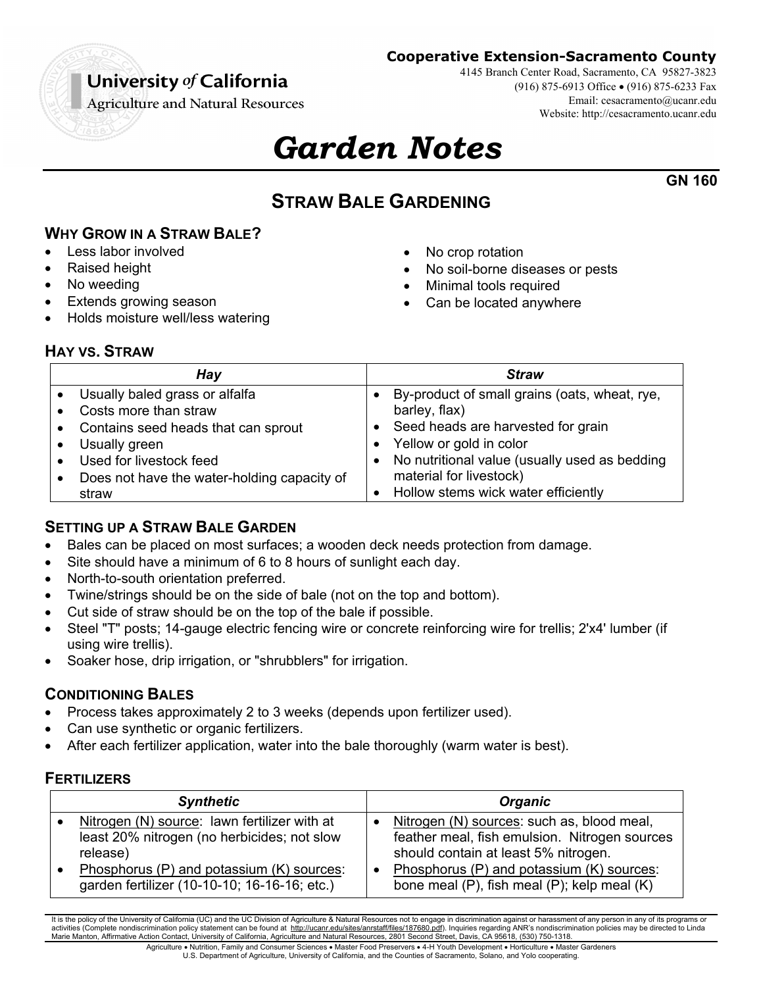# University of California

**Cooperative Extension-Sacramento County**

4145 Branch Center Road, Sacramento, CA 95827-3823 (916) 875-6913 Office (916) 875-6233 Fax Email: cesacramento@ucanr.edu Website: http://cesacramento.ucanr.edu

**GN 160**

**Agriculture and Natural Resources** 

# *Garden Notes*

# **STRAW BALE GARDENING**

**WHY GROW IN A STRAW BALE?** 

- Less labor involved
- Raised height
- No weeding
- Extends growing season
- Holds moisture well/less watering
- No crop rotation
- No soil-borne diseases or pests
- Minimal tools required
- Can be located anywhere

# **HAY VS. STRAW**

| Hay                                         | <b>Straw</b>                                  |
|---------------------------------------------|-----------------------------------------------|
| Usually baled grass or alfalfa              | By-product of small grains (oats, wheat, rye, |
| Costs more than straw                       | barley, flax)                                 |
| Contains seed heads that can sprout         | Seed heads are harvested for grain            |
| Usually green                               | Yellow or gold in color                       |
| Used for livestock feed                     | No nutritional value (usually used as bedding |
| Does not have the water-holding capacity of | material for livestock)                       |
| straw                                       | Hollow stems wick water efficiently           |

# **SETTING UP A STRAW BALE GARDEN**

- Bales can be placed on most surfaces; a wooden deck needs protection from damage.
- Site should have a minimum of 6 to 8 hours of sunlight each day.
- North-to-south orientation preferred.
- Twine/strings should be on the side of bale (not on the top and bottom).
- Cut side of straw should be on the top of the bale if possible.
- Steel "T" posts; 14-gauge electric fencing wire or concrete reinforcing wire for trellis; 2'x4' lumber (if using wire trellis).
- Soaker hose, drip irrigation, or "shrubblers" for irrigation.

# **CONDITIONING BALES**

- Process takes approximately 2 to 3 weeks (depends upon fertilizer used).
- Can use synthetic or organic fertilizers.
- After each fertilizer application, water into the bale thoroughly (warm water is best).

#### **FERTILIZERS**

| <b>Synthetic</b>                                                                                        | <b>Organic</b>                                                                                                                      |
|---------------------------------------------------------------------------------------------------------|-------------------------------------------------------------------------------------------------------------------------------------|
| Nitrogen (N) source: lawn fertilizer with at<br>least 20% nitrogen (no herbicides; not slow<br>release) | Nitrogen (N) sources: such as, blood meal,<br>feather meal, fish emulsion. Nitrogen sources<br>should contain at least 5% nitrogen. |
| Phosphorus (P) and potassium (K) sources:<br>garden fertilizer (10-10-10; 16-16-16; etc.)               | Phosphorus (P) and potassium (K) sources:<br>bone meal (P), fish meal (P); kelp meal (K)                                            |

It is the policy of the University of California (UC) and the UC Division of Agriculture & Natural Resources not to engage in discrimination against or harassment of any person in any of its programs or activities (Complete nondiscrimination policy statement can be found at http://ucanr.edu/sites/anrstaff/files/187680.pdf). Inquiries regarding ANR's nondiscrimination policies may be directed to Linda Marie Manton, Affirmative Action Contact, University of California, Agriculture and Natural Resources, 2801 Second Street, Davis, CA 95618, (530) 750-1318.

Agriculture . Nutrition, Family and Consumer Sciences . Master Food Preservers . 4-H Youth Development . Horticulture . Master Gardeners U.S. Department of Agriculture, University of California, and the Counties of Sacramento, Solano, and Yolo cooperating.